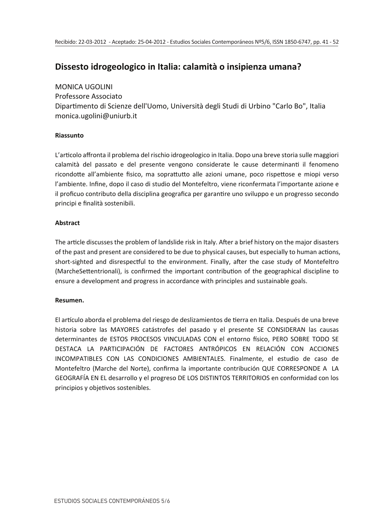# Dissesto idrogeologico in Italia: calamità o insipienza umana?

### **MONICA UGOLINI**

Professore Associato Dipartimento di Scienze dell'Uomo. Università degli Studi di Urbino "Carlo Bo". Italia monica.ugolini@uniurb.it

### Riassunto

L'articolo affronta il problema del rischio idrogeologico in Italia. Dopo una breve storia sulle maggiori calamità del passato e del presente vengono considerate le cause determinanti il fenomeno ricondotte all'ambiente fisico, ma soprattutto alle azioni umane, poco rispettose e miopi verso l'ambiente. Infine, dopo il caso di studio del Montefeltro, viene riconfermata l'importante azione e il proficuo contributo della disciplina geografica per garantire uno sviluppo e un progresso secondo principi e finalità sostenibili.

### **Abstract**

The article discusses the problem of landslide risk in Italy. After a brief history on the major disasters of the past and present are considered to be due to physical causes, but especially to human actions, short-sighted and disrespectful to the environment. Finally, after the case study of Montefeltro (MarcheSettentrionali), is confirmed the important contribution of the geographical discipline to ensure a development and progress in accordance with principles and sustainable goals.

### Resumen.

El artículo aborda el problema del riesgo de deslizamientos de tierra en Italia. Después de una breve historia sobre las MAYORES catástrofes del pasado y el presente SE CONSIDERAN las causas determinantes de ESTOS PROCESOS VINCULADAS CON el entorno físico, PERO SOBRE TODO SE DESTACA LA PARTICIPACIÓN DE FACTORES ANTRÓPICOS EN RELACIÓN CON ACCIONES INCOMPATIBLES CON LAS CONDICIONES AMBIENTALES. Finalmente, el estudio de caso de Montefeltro (Marche del Norte), confirma la importante contribución QUE CORRESPONDE A LA GEOGRAFÍA EN EL desarrollo y el progreso DE LOS DISTINTOS TERRITORIOS en conformidad con los principios y objetivos sostenibles.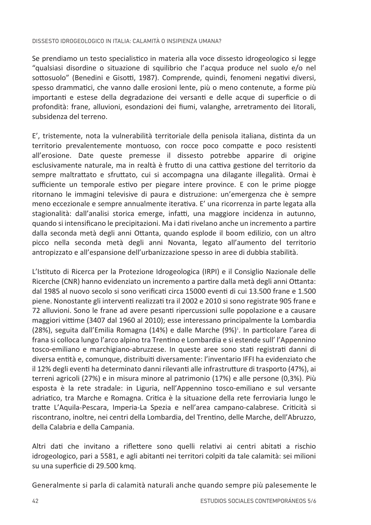### DISSESTO IDROGEOI OGICO IN ITALIA: CALAMITÀ O INSIPIENZA LIMANA?

Se prendiamo un testo specialistico in materia alla voce dissesto idrogeologico si legge "gualsiasi disordine o situazione di squilibrio che l'acqua produce nel suolo e/o nel sottosuolo" (Benedini e Gisotti, 1987). Comprende, quindi, fenomeni negativi diversi, spesso drammatici, che vanno dalle erosioni lente, più o meno contenute, a forme più importanti e estese della degradazione dei versanti e delle acque di superficie o di profondità: frane, alluvioni, esondazioni dei fiumi, valanghe, arretramento dei litorali, subsidenza del terreno

E', tristemente, nota la vulnerabilità territoriale della penisola italiana, distinta da un territorio prevalentemente montuoso, con rocce poco compatte e poco resistenti all'erosione. Date queste premesse il dissesto potrebbe apparire di origine esclusivamente naturale, ma in realtà è frutto di una cattiva gestione del territorio da sempre maltrattato e sfruttato, cui si accompagna una dilagante illegalità. Ormai è sufficiente un temporale estivo per piegare intere province. E con le prime piogge ritornano le immagini televisive di paura e distruzione: un'emergenza che è sempre meno eccezionale e sempre annualmente iterativa. E' una ricorrenza in parte legata alla stagionalità: dall'analisi storica emerge, infatti, una maggiore incidenza in autunno, quando si intensificano le precipitazioni. Ma i dati rivelano anche un incremento a partire dalla seconda metà degli anni Ottanta, quando esplode il boom edilizio, con un altro picco nella seconda metà degli anni Novanta. Jegato all'aumento del territorio antropizzato e all'espansione dell'urbanizzazione spesso in aree di dubbia stabilità.

L'Istituto di Ricerca per la Protezione Idrogeologica (IRPI) e il Consiglio Nazionale delle Ricerche (CNR) hanno evidenziato un incremento a partire dalla metà degli anni Ottanta: dal 1985 al nuovo secolo si sono verificati circa 15000 eventi di cui 13.500 frane e 1.500 piene. Nonostante gli interventi realizzati tra il 2002 e 2010 si sono registrate 905 frane e 72 alluvioni. Sono le frane ad avere pesanti ripercussioni sulle popolazione e a causare maggiori vittime (3407 dal 1960 al 2010); esse interessano principalmente la Lombardia (28%), seguita dall'Emilia Romagna (14%) e dalle Marche (9%)<sup>1</sup>. In particolare l'area di frana si colloca lungo l'arco alpino tra Trentino e Lombardia e si estende sull' l'Appennino tosco-emiliano e marchigiano-abruzzese. In queste aree sono stati registrati danni di diversa entità e, comunque, distribuiti diversamente: l'inventario IFFI ha evidenziato che il 12% degli eventi ha determinato danni rilevanti alle infrastrutture di trasporto (47%), ai terreni agricoli (27%) e in misura minore al patrimonio (17%) e alle persone (0,3%). Più esposta è la rete stradale: in Liguria, nell'Appennino tosco-emiliano e sul versante adriatico, tra Marche e Romagna, Critica è la situazione della rete ferroviaria lungo le tratte L'Aquila-Pescara, Imperia-La Spezia e nell'area campano-calabrese. Criticità si riscontrano, inoltre, nei centri della Lombardia, del Trentino, delle Marche, dell'Abruzzo, della Calabria e della Campania.

Altri dati che invitano a riflettere sono quelli relativi ai centri abitati a rischio idrogeologico, pari a 5581, e agli abitanti nei territori colpiti da tale calamità: sei milioni su una superficie di 29.500 kmg.

Generalmente si parla di calamità naturali anche quando sempre più palesemente le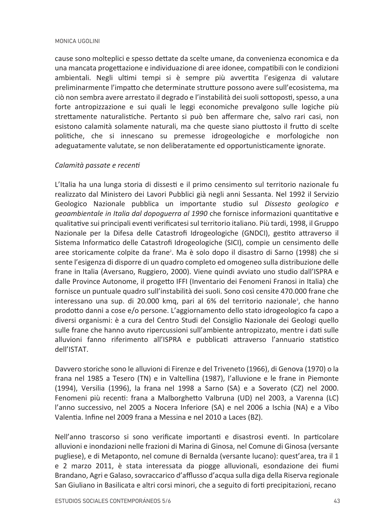cause sono molteplici e spesso dettate da scelte umane, da convenienza economica e da una mancata progettazione e individuazione di aree idonee, compatibili con le condizioni ambientali. Negli ultimi tempi si è sempre più avvertita l'esigenza di valutare preliminarmente l'impatto che determinate strutture possono avere sull'ecosistema, ma ciò non sembra avere arrestato il degrado e l'instabilità dei suoli sottoposti, spesso, a una forte antropizzazione e sui quali le leggi economiche prevalgono sulle logiche più strettamente naturalistiche. Pertanto si può ben affermare che, salvo rari casi, non esistono calamità solamente naturali, ma che queste siano piuttosto il frutto di scelte politiche, che si innescano su premesse idrogeologiche e morfologiche non adeguatamente valutate, se non deliberatamente ed opportunisticamente ignorate.

## Calamità passate e recenti

L'Italia ha una lunga storia di dissesti e il primo censimento sul territorio nazionale fu realizzato dal Ministero dei Lavori Pubblici già negli anni Sessanta. Nel 1992 il Servizio Geologico Nazionale pubblica un importante studio sul Dissesto geologico e geoambientale in Italia dal dopoguerra al 1990 che fornisce informazioni quantitative e qualitative sui principali eventi verificatesi sul territorio italiano. Più tardi, 1998, il Gruppo Nazionale per la Difesa delle Catastrofi Idrogeologiche (GNDCI), gestito attraverso il Sistema Informatico delle Catastrofi Idrogeologiche (SICI), compie un censimento delle aree storicamente colpite da frane<sup>2</sup>. Ma è solo dopo il disastro di Sarno (1998) che si sente l'esigenza di disporre di un quadro completo ed omogeneo sulla distribuzione delle frane in Italia (Aversano, Ruggiero, 2000). Viene quindi avviato uno studio dall'ISPRA e dalle Province Autonome, il progetto IFFI (Inventario dei Fenomeni Franosi in Italia) che fornisce un puntuale quadro sull'instabilità dei suoli. Sono così censite 470.000 frane che interessano una sup. di 20.000 kmq, pari al 6% del territorio nazionale<sup>3</sup>, che hanno prodotto danni a cose e/o persone. L'aggiornamento dello stato idrogeologico fa capo a diversi organismi: è a cura del Centro Studi del Consiglio Nazionale dei Geologi quello sulle frane che hanno avuto ripercussioni sull'ambiente antropizzato, mentre i dati sulle alluvioni fanno riferimento all'ISPRA e pubblicati attraverso l'annuario statistico TAT21'lloh

Davvero storiche sono le alluvioni di Firenze e del Triveneto (1966), di Genova (1970) o la frana nel 1985 a Tesero (TN) e in Valtellina (1987), l'alluvione e le frane in Piemonte (1994), Versilia (1996), la frana nel 1998 a Sarno (SA) e a Soverato (CZ) nel 2000. Fenomeni più recenti: frana a Malborghetto Valbruna (UD) nel 2003, a Varenna (LC) l'anno successivo, nel 2005 a Nocera Inferiore (SA) e nel 2006 a Ischia (NA) e a Vibo Valentia, Infine nel 2009 frana a Messina e nel 2010 a Laces (BZ).

Nell'anno trascorso si sono verificate importanti e disastrosi eventi. In particolare alluvioni e inondazioni nelle frazioni di Marina di Ginosa, nel Comune di Ginosa (versante pugliese), e di Metaponto, nel comune di Bernalda (versante lucano): quest'area, tra il 1 e 2 marzo 2011, è stata interessata da piogge alluvionali, esondazione dei fiumi Brandano, Agri e Galaso, sovraccarico d'afflusso d'acqua sulla diga della Riserva regionale San Giuliano in Basilicata e altri corsi minori, che a seguito di forti precipitazioni, recano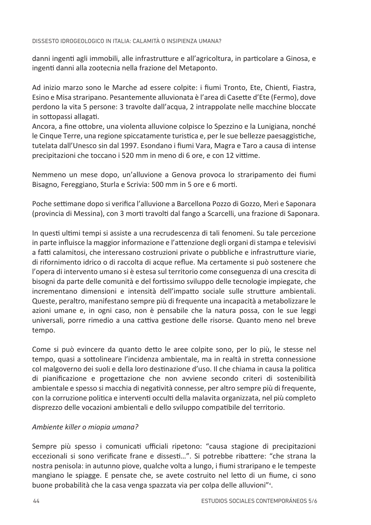danni ingenti agli immobili, alle infrastrutture e all'agricoltura, in particolare a Ginosa, e ingenti danni alla zootecnia nella frazione del Metaponto.

Ad inizio marzo sono le Marche ad essere colpite: i fiumi Tronto, Ete, Chienti, Fiastra, Esino e Misa straripano. Pesantemente alluvionata è l'area di Casette d'Ete (Fermo), dove perdono la vita 5 persone: 3 travolte dall'acqua, 2 intrappolate nelle macchine bloccate in sottopassi allagati.

Ancora, a fine ottobre, una violenta alluvione colpisce lo Spezzino e la Lunigiana, nonché le Cinque Terre, una regione spiccatamente turistica e, per le sue bellezze paesaggistiche, tutelata dall'Unesco sin dal 1997. Esondano i fiumi Vara, Magra e Taro a causa di intense precipitazioni che toccano i 520 mm in meno di 6 ore, e con 12 vittime.

Nemmeno un mese dopo, un'alluvione a Genova provoca lo straripamento dei fiumi Bisagno, Fereggiano, Sturla e Scrivia: 500 mm in 5 ore e 6 morti.

Poche settimane dopo si verifica l'alluvione a Barcellona Pozzo di Gozzo, Merì e Saponara (provincia di Messina), con 3 morti travolti dal fango a Scarcelli, una frazione di Saponara.

In questi ultimi tempi si assiste a una recrudescenza di tali fenomeni. Su tale percezione in parte influisce la maggior informazione e l'attenzione degli organi di stampa e televisivi a fatti calamitosi, che interessano costruzioni private o pubbliche e infrastrutture viarie, di rifornimento idrico o di raccolta di acque reflue. Ma certamente si può sostenere che l'opera di intervento umano si è estesa sul territorio come conseguenza di una crescita di bisogni da parte delle comunità e del fortissimo sviluppo delle tecnologie impiegate, che incrementano dimensioni e intensità dell'impatto sociale sulle strutture ambientali. Queste, peraltro, manifestano sempre più di frequente una incapacità a metabolizzare le azioni umane e, in ogni caso, non è pensabile che la natura possa, con le sue leggi universali, porre rimedio a una cattiva gestione delle risorse. Quanto meno nel breve tempo.

Come si può evincere da quanto detto le aree colpite sono, per lo più, le stesse nel tempo, quasi a sottolineare l'incidenza ambientale, ma in realtà in stretta connessione col malgoverno dei suoli e della loro destinazione d'uso. Il che chiama in causa la politica di pianificazione e progettazione che non avviene secondo criteri di sostenibilità ambientale e spesso si macchia di negatività connesse, per altro sempre più di frequente, con la corruzione politica e interventi occulti della malavita organizzata, nel più completo disprezzo delle vocazioni ambientali e dello sviluppo compatibile del territorio.

## Ambiente killer o miopia umana?

Sempre più spesso i comunicati ufficiali ripetono: "causa stagione di precipitazioni eccezionali si sono verificate frane e dissesti...". Si potrebbe ribattere: "che strana la nostra penisola: in autunno piove, qualche volta a lungo, i fiumi straripano e le tempeste mangiano le spiagge. E pensate che, se avete costruito nel letto di un fiume, ci sono buone probabilità che la casa venga spazzata via per colpa delle alluvioni"<sup>4</sup>.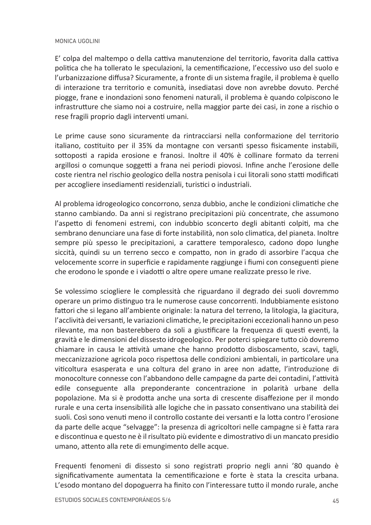E' colpa del maltempo o della cattiva manutenzione del territorio, favorita dalla cattiva politica che ha tollerato le speculazioni, la cementificazione, l'eccessivo uso del suolo e l'urbanizzazione diffusa? Sicuramente, a fronte di un sistema fragile, il problema è quello di interazione tra territorio e comunità, insediatasi dove non avrebbe dovuto. Perché piogge, frane e inondazioni sono fenomeni naturali, il problema è quando colpiscono le infrastrutture che siamo noi a costruire, nella maggior parte dei casi, in zone a rischio o rese fragili proprio dagli interventi umani.

Le prime cause sono sicuramente da rintracciarsi nella conformazione del territorio italiano, costituito per il 35% da montagne con versanti spesso fisicamente instabili, sottoposti a rapida erosione e franosi. Inoltre il 40% è collinare formato da terreni argillosi o comunque soggetti a frana nei periodi piovosi. Infine anche l'erosione delle coste rientra nel rischio geologico della nostra penisola i cui litorali sono statti modificati per accogliere insediamenti residenziali, turistici o industriali.

Al problema idrogeologico concorrono, senza dubbio, anche le condizioni climatiche che stanno cambiando. Da anni si registrano precipitazioni più concentrate, che assumono l'aspetto di fenomeni estremi, con indubbio sconcerto degli abitanti colpiti, ma che sembrano denunciare una fase di forte instabilità, non solo climatica, del pianeta. Inoltre sempre più spesso le precipitazioni, a carattere temporalesco, cadono dopo lunghe siccità, quindi su un terreno secco e compatto, non in grado di assorbire l'acqua che velocemente scorre in superficie e rapidamente raggiunge i fiumi con conseguenti piene che erodono le sponde e i viadotti o altre opere umane realizzate presso le rive.

Se volessimo sciogliere le complessità che riguardano il degrado dei suoli dovremmo operare un primo distinguo tra le numerose cause concorrenti. Indubbiamente esistono fattori che si legano all'ambiente originale: la natura del terreno, la litologia, la giacitura, l'acclività dei versanti, le variazioni climatiche, le precipitazioni eccezionali hanno un peso rilevante, ma non basterebbero da soli a giustificare la frequenza di questi eventi, la gravità e le dimensioni del dissesto idrogeologico. Per poterci spiegare tutto ciò dovremo chiamare in causa le attività umane che hanno prodotto disboscamento, scavi, tagli, meccanizzazione agricola poco rispettosa delle condizioni ambientali, in particolare una viticoltura esasperata e una coltura del grano in aree non adatte, l'introduzione di monocolture connesse con l'abbandono delle campagne da parte dei contadini, l'attività edile conseguente alla preponderante concentrazione in polarità urbane della popolazione. Ma si è prodotta anche una sorta di crescente disaffezione per il mondo rurale e una certa insensibilità alle logiche che in passato consentivano una stabilità dei suoli. Così sono venuti meno il controllo costante dei versanti e la lotta contro l'erosione da parte delle acque "selvagge": la presenza di agricoltori nelle campagne si è fatta rara e discontinua e questo ne è il risultato più evidente e dimostrativo di un mancato presidio umano, attento alla rete di emungimento delle acque.

Frequenti fenomeni di dissesto si sono registrati proprio negli anni '80 quando è significativamente aumentata la cementificazione e forte è stata la crescita urbana. L'esodo montano del dopoguerra ha finito con l'interessare tutto il mondo rurale, anche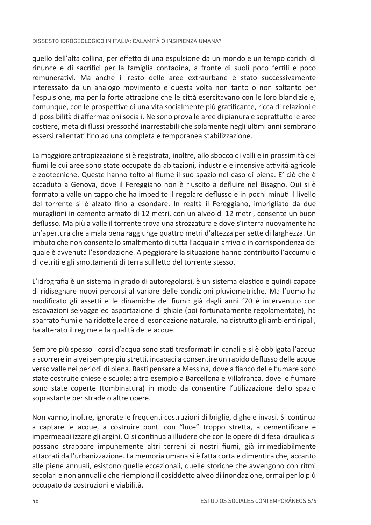### DISSESTO IDROGEOI OGICO IN ITALIA: CALAMITÀ O INSIPIENZA LIMANA?

quello dell'alta collina, per effetto di una espulsione da un mondo e un tempo carichi di rinunce e di sacrifici per la famiglia contadina, a fronte di suoli poco fertili e poco remunerativi. Ma anche il resto delle aree extraurbane è stato successivamente interessato da un analogo movimento e questa volta non tanto o non soltanto per l'espulsione, ma per la forte attrazione che le città esercitavano con le loro blandizie e, comunque, con le prospettive di una vita socialmente più gratificante, ricca di relazioni e di possibilità di affermazioni sociali. Ne sono prova le aree di pianura e soprattutto le aree costiere, meta di flussi pressoché inarrestabili che solamente negli ultimi anni sembrano essersi rallentati fino ad una completa e temporanea stabilizzazione.

La maggiore antropizzazione si è registrata, inoltre, allo sbocco di valli e in prossimità dei fiumi le cui aree sono state occupate da abitazioni, industrie e intensive attività agricole e zootecniche. Queste hanno tolto al fiume il suo spazio nel caso di piena. E' ciò che è accaduto a Genova, dove il Fereggiano non è riuscito a defluire nel Bisagno. Qui si è formato a valle un tappo che ha impedito il regolare deflusso e in pochi minuti il livello del torrente si è alzato fino a esondare. In realtà il Fereggiano, imbrigliato da due muraglioni in cemento armato di 12 metri, con un alveo di 12 metri, consente un buon deflusso. Ma più a valle il torrente trova una strozzatura e dove s'interra nuovamente ha un'apertura che a mala pena raggiunge quattro metri d'altezza per sette di larghezza. Un imbuto che non consente lo smaltimento di tutta l'acqua in arrivo e in corrispondenza del quale è avvenuta l'esondazione. A peggiorare la situazione hanno contribuito l'accumulo di detriti e gli smottamenti di terra sul letto del torrente stesso.

L'idrografia è un sistema in grado di autoregolarsi, è un sistema elastico e quindi capace di ridisegnare nuovi percorsi al variare delle condizioni pluviometriche. Ma l'uomo ha modificato gli assetti e le dinamiche dei fiumi: già dagli anni '70 è intervenuto con escavazioni selvagge ed asportazione di ghiaie (poi fortunatamente regolamentate), ha sbarrato fiumi e ha ridotte le aree di esondazione naturale, ha distrutto gli ambienti ripali. ha alterato il regime e la qualità delle acque.

Sempre più spesso i corsi d'acqua sono stati trasformati in canali e si è obbligata l'acqua a scorrere in alvei sempre più stretti, incapaci a consentire un rapido deflusso delle acque verso valle nei periodi di piena. Basti pensare a Messina, dove a fianco delle fiumare sono state costruite chiese e scuole; altro esempio a Barcellona e Villafranca, dove le fiumare sono state coperte (tombinatura) in modo da consentire l'utilizzazione dello spazio soprastante per strade o altre opere.

Non vanno, inoltre, ignorate le frequenti costruzioni di briglie, dighe e invasi. Si continua a captare le acque, a costruire ponti con "luce" troppo stretta, a cementificare e impermeabilizzare gli argini. Ci si continua a illudere che con le opere di difesa idraulica si possano strappare impunemente altri terreni ai nostri fiumi, già irrimediabilmente attaccati dall'urbanizzazione. La memoria umana si è fatta corta e dimentica che, accanto alle piene annuali, esistono quelle eccezionali, quelle storiche che avvengono con ritmi secolari e non annuali e che riempiono il cosiddetto alveo di inondazione, ormai per lo più occupato da costruzioni e viabilità.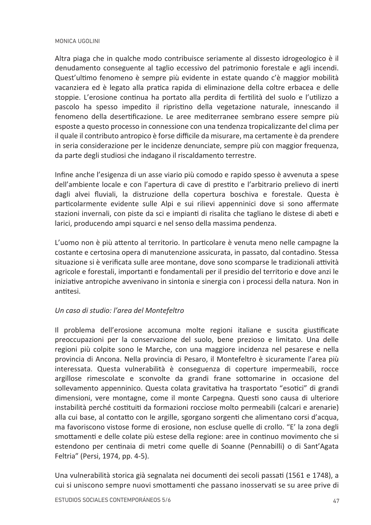Altra piaga che in qualche modo contribuisce seriamente al dissesto idrogeologico è il denudamento conseguente al taglio eccessivo del patrimonio forestale e agli incendi. Quest'ultimo fenomeno è sempre più evidente in estate quando c'è maggior mobilità vacanziera ed è legato alla pratica rapida di eliminazione della coltre erbacea e delle stoppie. L'erosione continua ha portato alla perdita di fertilità del suolo e l'utilizzo a pascolo ha spesso impedito il ripristino della vegetazione naturale, innescando il fenomeno della desertificazione. Le aree mediterranee sembrano essere sempre più esposte a questo processo in connessione con una tendenza tropicalizzante del clima per il quale il contributo antropico è forse difficile da misurare, ma certamente è da prendere in seria considerazione per le incidenze denunciate, sempre più con maggior frequenza, da parte degli studiosi che indagano il riscaldamento terrestre.

Infine anche l'esigenza di un asse viario più comodo e rapido spesso è avvenuta a spese dell'ambiente locale e con l'apertura di cave di prestito e l'arbitrario prelievo di inerti dagli alvei fluviali, la distruzione della copertura boschiva e forestale. Questa è particolarmente evidente sulle Alpi e sui rilievi appenninici dove si sono affermate stazioni invernali, con piste da sci e impianti di risalita che tagliano le distese di abeti e larici, producendo ampi squarci e nel senso della massima pendenza.

L'uomo non è più attento al territorio. In particolare è venuta meno nelle campagne la costante e certosina opera di manutenzione assicurata, in passato, dal contadino. Stessa situazione si è verificata sulle aree montane, dove sono scomparse le tradizionali attività agricole e forestali, importanti e fondamentali per il presidio del territorio e dove anzi le iniziative antropiche avvenivano in sintonia e sinergia con i processi della natura. Non in antitesi

## Un caso di studio: l'area del Montefeltro

Il problema dell'erosione accomuna molte regioni italiane e suscita giustificate preoccupazioni per la conservazione del suolo, bene prezioso e limitato. Una delle regioni più colpite sono le Marche, con una maggiore incidenza nel pesarese e nella provincia di Ancona. Nella provincia di Pesaro, il Montefeltro è sicuramente l'area più interessata. Questa vulnerabilità è conseguenza di coperture impermeabili, rocce argillose rimescolate e sconvolte da grandi frane sottomarine in occasione del sollevamento appenninico. Questa colata gravitativa ha trasportato "esotici" di grandi dimensioni, vere montagne, come il monte Carpegna. Questi sono causa di ulteriore instabilità perché costituiti da formazioni rocciose molto permeabili (calcari e arenarie) alla cui base, al contatto con le argille, sgorgano sorgenti che alimentano corsi d'acqua, ma favoriscono vistose forme di erosione, non escluse quelle di crollo. "E' la zona degli smottamenti e delle colate più estese della regione: aree in continuo movimento che si estendono per centinaia di metri come quelle di Soanne (Pennabilli) o di Sant'Agata Feltria" (Persi, 1974, pp. 4-5).

Una vulnerabilità storica già segnalata nei documenti dei secoli passati (1561 e 1748), a cui si uniscono sempre nuovi smottamenti che passano inosservati se su aree prive di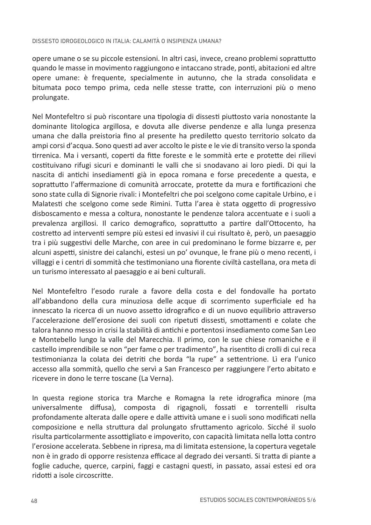### DISSESTO IDROGEOLOGICO IN ITALIA: CALAMITÀ O INSIPIENZA UMANA?

opere umane o se su piccole estensioni. In altri casi, invece, creano problemi soprattutto quando le masse in movimento raggiungono e intaccano strade, ponti, abitazioni ed altre opere umane: è frequente, specialmente in autunno, che la strada consolidata e bitumata poco tempo prima, ceda nelle stesse tratte, con interruzioni più o meno prolungate.

Nel Montefeltro si può riscontare una tipologia di dissesti piuttosto varia nonostante la dominante litologica argillosa, e dovuta alle diverse pendenze e alla lunga presenza umana che dalla preistoria fino al presente ha prediletto questo territorio solcato da ampi corsi d'acqua. Sono questi ad aver accolto le piste e le vie di transito verso la sponda tirrenica. Ma i versanti, coperti da fitte foreste e le sommità erte e protette dei rilievi costituivano rifugi sicuri e dominanti le valli che si snodavano ai loro piedi. Di qui la nascita di antichi insediamenti già in epoca romana e forse precedente a questa, e soprattutto l'affermazione di comunità arroccate, protette da mura e fortificazioni che sono state culla di Signorie rivali: i Montefeltri che poi scelgono come capitale Urbino, e i Malatesti che scelgono come sede Rimini. Tutta l'area è stata oggetto di progressivo disboscamento e messa a coltura, nonostante le pendenze talora accentuate e i suoli a prevalenza argillosi. Il carico demografico, soprattutto a partire dall'Ottocento, ha costretto ad interventi sempre più estesi ed invasivi il cui risultato è, però, un paesaggio tra i più suggestivi delle Marche, con aree in cui predominano le forme bizzarre e. per alcuni aspetti, sinistre dei calanchi, estesi un po' ovunque, le frane più o meno recenti, i villaggi e i centri di sommità che testimoniano una fiorente civiltà castellana, ora meta di un turismo interessato al paesaggio e ai beni culturali.

Nel Montefeltro l'esodo rurale a favore della costa e del fondovalle ha portato all'abbandono della cura minuziosa delle acque di scorrimento superficiale ed ha innescato la ricerca di un nuovo assetto idrografico e di un nuovo equilibrio attraverso l'accelerazione dell'erosione dei suoli con ripetuti dissesti, smottamenti e colate che talora hanno messo in crisi la stabilità di antichi e portentosi insediamento come San Leo e Montebello lungo la valle del Marecchia. Il primo, con le sue chiese romaniche e il castello imprendibile se non "per fame o per tradimento", ha risentito di crolli di cui reca testimonianza la colata dei detriti che borda "la rupe" a settentrione. Lì era l'unico accesso alla sommità, quello che servì a San Francesco per raggiungere l'erto abitato e ricevere in dono le terre toscane (La Verna).

In questa regione storica tra Marche e Romagna la rete idrografica minore (ma universalmente diffusa), composta di rigagnoli, fossati e torrentelli risulta profondamente alterata dalle opere e dalle attività umane e i suoli sono modificati nella composizione e nella struttura dal prolungato sfruttamento agricolo. Sicché il suolo risulta particolarmente assottigliato e impoverito, con capacità limitata nella lotta contro l'erosione accelerata. Sebbene in ripresa, ma di limitata estensione, la copertura vegetale non è in grado di opporre resistenza efficace al degrado dei versanti. Si tratta di piante a foglie caduche, querce, carpini, faggi e castagni questi, in passato, assai estesi ed ora ridotti a isole circoscritte.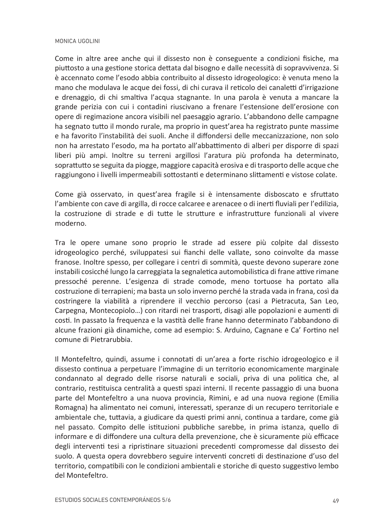Come in altre aree anche qui il dissesto non è conseguente a condizioni fisiche, ma piuttosto a una gestione storica dettata dal bisogno e dalle necessità di sopravvivenza. Si è accennato come l'esodo abbia contribuito al dissesto idrogeologico: è venuta meno la mano che modulava le acque dei fossi, di chi curava il reticolo dei canaletti d'irrigazione e drenaggio, di chi smaltiva l'acqua stagnante. In una parola è venuta a mancare la grande perizia con cui i contadini riuscivano a frenare l'estensione dell'erosione con opere di regimazione ancora visibili nel paesaggio agrario. L'abbandono delle campagne ha segnato tutto il mondo rurale, ma proprio in quest'area ha registrato punte massime e ha favorito l'instabilità dei suoli. Anche il diffondersi delle meccanizzazione, non solo non ha arrestato l'esodo, ma ha portato all'abbattimento di alberi per disporre di spazi liberi più ampi. Inoltre su terreni argillosi l'aratura più profonda ha determinato, soprattutto se seguita da piogge, maggiore capacità erosiva e di trasporto delle acque che raggiungono i livelli impermeabili sottostanti e determinano slittamenti e vistose colate.

Come già osservato, in quest'area fragile si è intensamente disboscato e sfruttato l'ambiente con cave di argilla, di rocce calcaree e arenacee o di inerti fluviali per l'edilizia. la costruzione di strade e di tutte le strutture e infrastrutture funzionali al vivere moderno.

Tra le opere umane sono proprio le strade ad essere più colpite dal dissesto idrogeologico perché, sviluppatesi sui fianchi delle vallate, sono coinvolte da masse franose. Inoltre spesso, per collegare i centri di sommità, queste devono superare zone instabili cosicché lungo la carreggiata la segnaletica automobilistica di frane attive rimane pressoché perenne. L'esigenza di strade comode, meno tortuose ha portato alla costruzione di terrapieni: ma basta un solo inverno perché la strada vada in frana, così da costringere la viabilità a riprendere il vecchio percorso (casi a Pietracuta, San Leo, Carpegna, Montecopiolo...) con ritardi nei trasporti, disagi alle popolazioni e aumenti di costi. In passato la freguenza e la vastità delle frane hanno determinato l'abbandono di alcune frazioni già dinamiche, come ad esempio: S. Arduino, Cagnane e Ca' Fortino nel comune di Pietrarubbia.

Il Montefeltro, quindi, assume i connotati di un'area a forte rischio idrogeologico e il dissesto continua a perpetuare l'immagine di un territorio economicamente marginale condannato al degrado delle risorse naturali e sociali, priva di una politica che, al contrario, restituisca centralità a questi spazi interni. Il recente passaggio di una buona parte del Montefeltro a una nuova provincia, Rimini, e ad una nuova regione (Emilia Romagna) ha alimentato nei comuni, interessati, speranze di un recupero territoriale e ambientale che, tuttavia, a giudicare da questi primi anni, continua a tardare, come già nel passato. Compito delle istituzioni pubbliche sarebbe, in prima istanza, quello di informare e di diffondere una cultura della prevenzione, che è sicuramente più efficace degli interventi tesi a ripristinare situazioni precedenti compromesse dal dissesto dei suolo. A questa opera dovrebbero seguire interventi concreti di destinazione d'uso del territorio, compatibili con le condizioni ambientali e storiche di questo suggestivo lembo del Montefeltro.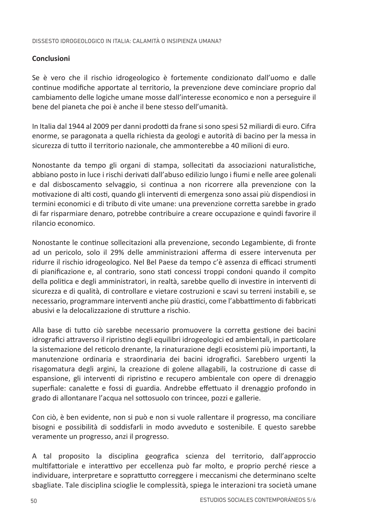## Conclusioni

Se è vero che il rischio idrogeologico è fortemente condizionato dall'uomo e dalle continue modifiche apportate al territorio, la prevenzione deve cominciare proprio dal cambiamento delle logiche umane mosse dall'interesse economico e non a perseguire il bene del pianeta che poi è anche il bene stesso dell'umanità.

In Italia dal 1944 al 2009 per danni prodotti da frane si sono spesi 52 miliardi di euro. Cifra enorme, se paragonata a quella richiesta da geologi e autorità di bacino per la messa in sicurezza di tutto il territorio nazionale, che ammonterebbe a 40 milioni di euro.

Nonostante da tempo gli organi di stampa, sollecitati da associazioni naturalistiche, abbiano posto in luce i rischi derivati dall'abuso edilizio lungo i fiumi e nelle aree golenali e dal disboscamento selvaggio, si continua a non ricorrere alla prevenzione con la motivazione di alti costi, quando gli interventi di emergenza sono assai più dispendiosi in termini economici e di tributo di vite umane: una prevenzione corretta sarebbe in grado di far risparmiare denaro, potrebbe contribuire a creare occupazione e quindi favorire il rilancio economico.

Nonostante le continue sollecitazioni alla prevenzione, secondo Legambiente, di fronte ad un pericolo, solo il 29% delle amministrazioni afferma di essere intervenuta per ridurre il rischio idrogeologico. Nel Bel Paese da tempo c'è assenza di efficaci strumenti di pianificazione e, al contrario, sono stati concessi troppi condoni quando il compito della politica e degli amministratori, in realtà, sarebbe quello di investire in interventi di sicurezza e di qualità, di controllare e vietare costruzioni e scavi su terreni instabili e, se necessario, programmare interventi anche più drastici, come l'abbattimento di fabbricati abusivi e la delocalizzazione di strutture a rischio.

Alla base di tutto ciò sarebbe necessario promuovere la corretta gestione dei bacini idrografici attraverso il ripristino degli equilibri idrogeologici ed ambientali, in particolare la sistemazione del reticolo drenante, la rinaturazione degli ecosistemi più importanti, la manutenzione ordinaria e straordinaria dei bacini idrografici. Sarebbero urgenti la risagomatura degli argini, la creazione di golene allagabili, la costruzione di casse di espansione, gli interventi di ripristino e recupero ambientale con opere di drenaggio superfiale: canalette e fossi di guardia. Andrebbe effettuato il drenaggio profondo in grado di allontanare l'acqua nel sottosuolo con trincee, pozzi e gallerie.

Con ciò, è ben evidente, non si può e non si vuole rallentare il progresso, ma conciliare bisogni e possibilità di soddisfarli in modo avveduto e sostenibile. E questo sarebbe veramente un progresso, anzi il progresso.

A tal proposito la disciplina geografica scienza del territorio, dall'approccio multifattoriale e interattivo per eccellenza può far molto, e proprio perché riesce a individuare, interpretare e soprattutto correggere i meccanismi che determinano scelte sbagliate. Tale disciplina scioglie le complessità, spiega le interazioni tra società umane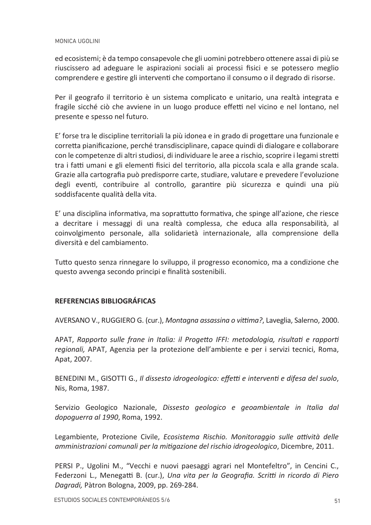#### MONICA UGOLINI

ed ecosistemi; è da tempo consapevole che gli uomini potrebbero ottenere assai di più se riuscissero ad adeguare le aspirazioni sociali ai processi fisici e se potessero meglio comprendere e gestire gli interventi che comportano il consumo o il degrado di risorse.

Per il geografo il territorio è un sistema complicato e unitario, una realtà integrata e fragile sicché ciò che avviene in un luogo produce effetti nel vicino e nel lontano, nel presente e spesso nel futuro.

E' forse tra le discipline territoriali la più idonea e in grado di progettare una funzionale e corretta pianificazione, perché transdisciplinare, capace quindi di dialogare e collaborare con le competenze di altri studiosi, di individuare le aree a rischio, scoprire i legami stretti tra i fatti umani e gli elementi fisici del territorio, alla piccola scala e alla grande scala. Grazie alla cartografia può predisporre carte, studiare, valutare e prevedere l'evoluzione degli eventi, contribuire al controllo, garantire più sicurezza e quindi una più soddisfacente qualità della vita.

E' una disciplina informativa, ma soprattutto formativa, che spinge all'azione, che riesce a decritare i messaggi di una realtà complessa, che educa alla responsabilità, al coinvolgimento personale, alla solidarietà internazionale, alla comprensione della diversità e del cambiamento.

Tutto questo senza rinnegare lo sviluppo, il progresso economico, ma a condizione che questo avvenga secondo principi e finalità sostenibili.

## **REFERENCIAS BIBLIOGRÁFICAS**

AVERSANO V., RUGGIERO G. (cur.), Montagna assassing o vittima?, Laveglia, Salerno, 2000.

APAT, Rapporto sulle frane in Italia: il Progetto IFFI: metodologia, risultati e rapporti regionali, APAT, Agenzia per la protezione dell'ambiente e per i servizi tecnici, Roma, Apat, 2007.

BENEDINI M., GISOTTI G., Il dissesto idrogeologico: effetti e interventi e difesa del suolo, Nis, Roma, 1987.

Servizio Geologico Nazionale, Dissesto geologico e geoambientale in Italia dal *dopoquerra al 1990*, Roma, 1992.

Legambiente, Protezione Civile, Ecosistema Rischio, Monitoraggio sulle attività delle amministrazioni comunali per la mitigazione del rischio idrogeologico, Dicembre, 2011.

PERSI P., Ugolini M., "Vecchi e nuovi paesaggi agrari nel Montefeltro", in Cencini C., Federzoni L., Menegatti B. (cur.), Una vita per la Geografia. Scritti in ricordo di Piero Dagradi, Pàtron Bologna, 2009, pp. 269-284.